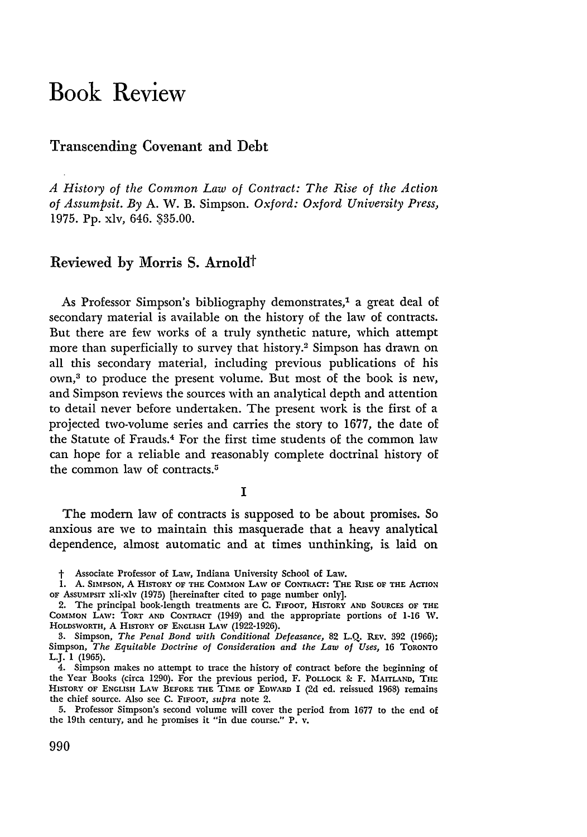# Book Review

# Transcending Covenant and Debt

*A History of the Common Law of Contract: The Rise of the Action of Assumpsit. By* A. W. B. Simpson. *Oxford: Oxford University Press,* 1975. Pp. xlv, 646. \$35.00.

# Reviewed **by** Morris **S.** Arnoldt

As Professor Simpson's bibliography demonstrates,<sup>1</sup> a great deal of secondary material is available on the history of the law of contracts. But there are few works of a truly synthetic nature, which attempt more than superficially to survey that history.2 Simpson has drawn on all this secondary material, including previous publications of his own,3 to produce the present volume. But most of the book is new, and Simpson reviews the sources with an analytical depth and attention to detail never before undertaken. The present work is the first of a projected two-volume series and carries the story to 1677, the date of the Statute of Frauds.<sup>4</sup> For the first time students of the common law can hope for a reliable and reasonably complete doctrinal history of the common law of contracts.5

### **I**

The modem law of contracts is supposed to be about promises. So anxious are we to maintain this masquerade that a heavy analytical dependence, almost automatic and at times unthinking, is laid on

- **1. A. SIMPSON,** A HISTORY OF **THE COMMON LAW** OF **CONTRACT:** THE RISE **OF** THE ACTION OF AssuMPSIT xli-xlv **(1975)** [hereinafter cited to page number only].
- 2. The principal book-length treatments are **C.** FIFOOT, HISTORY **AND SOURCES** OF THE **COMMON** LAW: TORT **AND CONTRACT** (1949) and the appropriate portions of **1-16** W. I-OLDSWORTH, **A** HISTORY OF **ENGLISH LAW (1922-1926).**

**3.** Simpson, *The Penal Bond with Conditional Defeasance,* 82 L.Q. REv. **392 (1966);** Simpson, *The Equitable Doctrine of Consideration and the Law of Uses,* **16 TORONTO L.J.** 1 **(1965).**

4. Simpson makes no attempt to trace the history of contract before the beginning of the Year Books (circa **1290).** For the previous period, F. POLLOCK **&** F. **NIAITLAND, THE** HISTORY OF **ENGLISH LAW BEFORE** THE **TIME** OF EDWARD I **(2d ed.** reissued **1968)** remains the chief source. Also see **C.** FIFOOT, *supra* note 2.

**5.** Professor Simpson's second volume will cover the period from 1677 to the end of the 19th century, and he promises it "in due course." P. v.

990

<sup>&</sup>lt;sup>†</sup> Associate Professor of Law, Indiana University School of Law.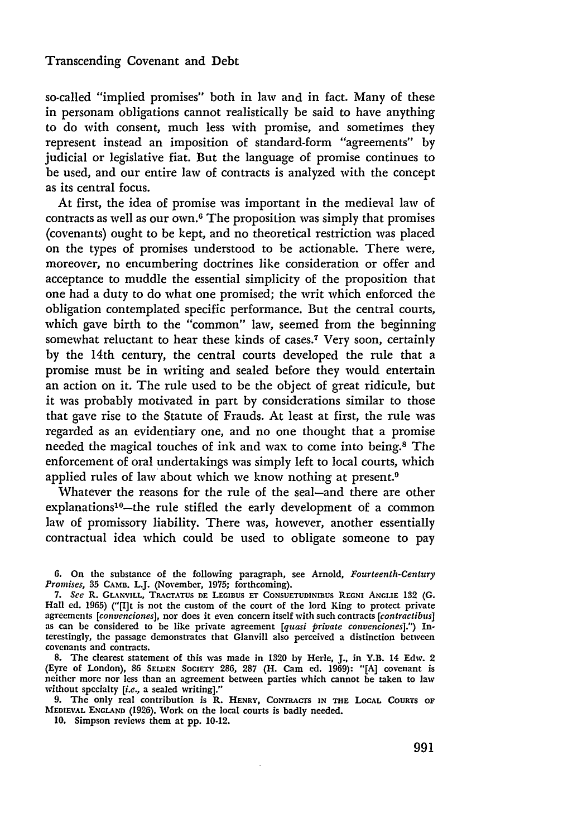so-called "implied promises" both in law and in fact. Many of these in personam obligations cannot realistically be said to have anything to do with consent, much less with promise, and sometimes they represent instead an imposition of standard-form "agreements" by judicial or legislative fiat. But the language of promise continues to be used, and our entire law of contracts is analyzed with the concept as its central focus.

At first, the idea of promise was important in the medieval law of contracts as well as our own.<sup>6</sup> The proposition was simply that promises (covenants) ought to be kept, and no theoretical restriction was placed on the types of promises understood to be actionable. There were, moreover, no encumbering doctrines like consideration or offer and acceptance to muddle the essential simplicity of the proposition that one had a duty to do what one promised; the writ which enforced the obligation contemplated specific performance. But the central courts, which gave birth to the "common" law, seemed from the beginning somewhat reluctant to hear these kinds of cases.<sup>7</sup> Very soon, certainly by the 14th century, the central courts developed the rule that a promise must be in writing and sealed before they would entertain an action on it. The rule used to be the object of great ridicule, but it was probably motivated in part by considerations similar to those that gave rise to the Statute of Frauds. At least at first, the rule was regarded as an evidentiary one, and no one thought that a promise needed the magical touches of ink and wax to come into being.8 The enforcement of oral undertakings was simply left to local courts, which applied rules of law about which we know nothing at present.<sup>9</sup>

Whatever the reasons for the rule of the seal-and there are other explanations<sup>10</sup>-the rule stifled the early development of a commor law of promissory liability. There was, however, another essentially contractual idea which could be used to obligate someone to pay

**8.** The clearest statement of this was made in **1320** by Herle, **J.,** in Y.B. 14 **Edw.** 2 (Eyre of London), 86 **SELDEN SOciEry** 286, 287 (H. Cam **ed. 1969):** "[A] covenant is neither more nor less than an agreement between parties which cannot be taken to law without specialty *[i.e.,* a **sealed writing]."**

**9.** The only real contribution is R. **HENRY,** CONTRACTS **IN THE LOCAL COURTS** OF **MEDIEVAL ENGLAND (1926).** Work on the local courts is badly needed.

**10.** Simpson reviews them at **pp.** 10-12.

<sup>6.</sup> On the substance of the following paragraph, see Arnold, *Fourteenth-Century Promises,* **35 CAMN.** L.J. (November, **1975;** forthcoming).

*<sup>7.</sup> See* R. **GLANVILL, TRACTATUS DE LEGIBUS Er CONSUETUDINIBUS REGNI ANGLIE 132 (G.** Hall **ed. 1965)** ("[I]t is not the custom of the court of the lord King to protect private agreements *[convenciones],* **nor does** it even concern itself with such contracts *[contractibus]* as can be considered to be like private agreement *[quasi private convenciones].")* Interestingly, the passage demonstrates that Glanvill also perceived a distinction between covenants and contracts.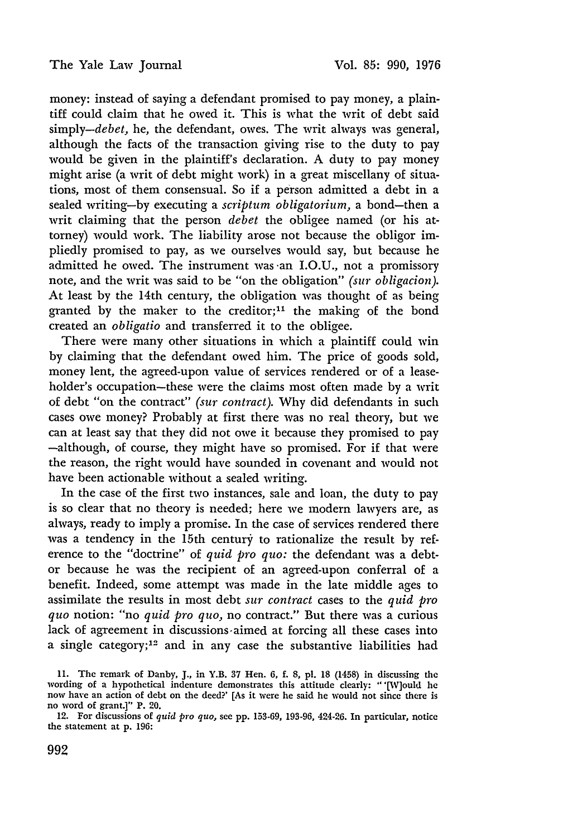money: instead of saying a defendant promised to pay money, a plaintiff could claim that he owed it. This is what the writ of debt said simply-debet, he, the defendant, owes. The writ always was general, although the facts of the transaction giving rise to the duty to pay would be given in the plaintiff's declaration. A duty to pay money might arise (a writ of debt might work) in a great miscellany of situations, most of them consensual. So if a person admitted a debt in a sealed writing--by executing a *scriptum obligatorium,* a bond-then a writ claiming that the person *debet* the obligee named (or his attorney) would work. The liability arose not because the obligor impliedly promised to pay, as we ourselves would say, but because he admitted he owed. The instrument was -an I.O.U., not a promissory note, and the writ was said to be "on the obligation" *(sur obligacion).* At least by the 14th century, the obligation was thought of as being granted by the maker to the creditor;<sup>11</sup> the making of the bond created an *obligatio* and transferred it to the obligee.

There were many other situations in which a plaintiff could win by claiming that the defendant owed him. The price of goods sold, money lent, the agreed-upon value of services rendered or of a leaseholder's occupation-these were the claims most often made by a writ of debt "on the contract" *(sur contract).* Why did defendants in such cases owe money? Probably at first there was no real theory, but we can at least say that they did not owe it because they promised to pay -although, of course, they might have so promised. For if that were the reason, the right would have sounded in covenant and would not have been actionable without a sealed writing.

In the case of the first two instances, sale and loan, the duty to pay is so clear that no theory is needed; here we modern lawyers are, as always, ready to imply a promise. In the case of services rendered there was a tendency in the 15th century to rationalize the result by reference to the "doctrine" of *quid pro quo:* the defendant was a debtor because he was the recipient of an agreed-upon conferral of a benefit. Indeed, some attempt was made in the late middle ages to assimilate the results in most debt *sur contract* cases to the *quid pro quo* notion: "no *quid pro quo,* no contract." But there was a curious lack of agreement in discussions -aimed at forcing all these cases into a single category; 12 and in any case the substantive liabilities had

<sup>11.</sup> The remark of Danby, **J.,** in Y.B. 37 Hen. 6, **f.** 8, **pl.** 18 (1458) in discussing the wording of a hypothetical indenture demonstrates this attitude clearly: "'[W]ould he now have an action of debt on the deed?' [As it were he said he would not since there is no word of grant.]" P. 20.

<sup>12.</sup> For discussions of *quid pro quo,* see **pp. 153-69, 193-96,** 424-26. In particular, notice the statement at p. **196:**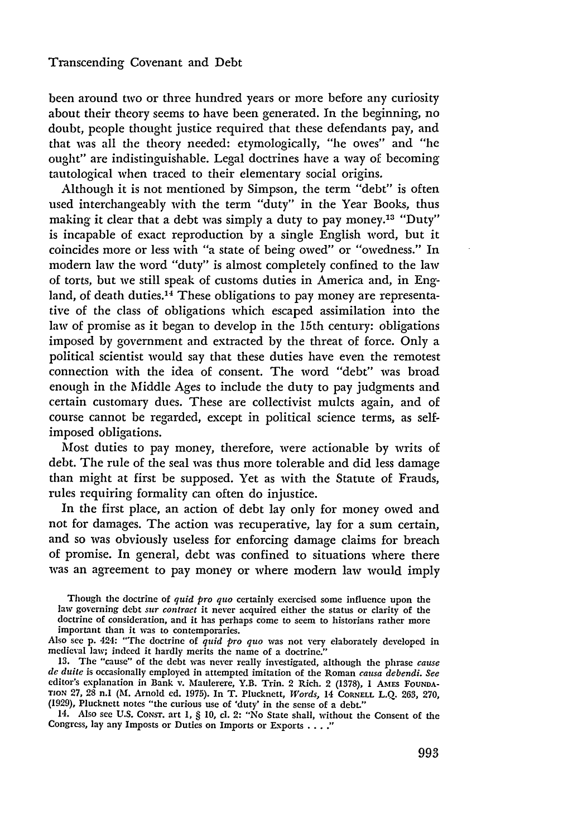been around two or three hundred years or more before any curiosity about their theory seems to have been generated. In the beginning, **no** doubt, people thought justice required that these defendants pay, and that was all the theory needed: etymologically, "he owes" and "he ought" are indistinguishable. Legal doctrines have a way of becoming tautological when traced to their elementary social origins.

Although it is not mentioned by Simpson, the term "debt" is often used interchangeably with the term "duty" in the Year Books, thus making it clear that a debt was simply a duty to pay money.<sup>13</sup> "Duty" is incapable of exact reproduction by a single English word, but it coincides more or less with "a state of being owed" or "owedness." In modern law the word "duty" is almost completely confined to the law of torts, but we still speak of customs duties in America and, in England, of death duties.<sup>14</sup> These obligations to pay money are representative of the class of obligations which escaped assimilation into the law of promise as it began to develop in the 15th century: obligations imposed by government and extracted by the threat of force. Only a political scientist would say that these duties have even the remotest connection with the idea of consent. The word "debt" was broad enough in the Middle Ages to include the duty to pay judgments and certain customary dues. These are collectivist mulcts again, and of course cannot be regarded, except in political science terms, as selfimposed obligations.

Most duties to pay money, therefore, were actionable by writs of debt. The rule of the seal was thus more tolerable and did less damage than might at first be supposed. Yet as with the Statute of Frauds, rules requiring formality can often do injustice.

In the first place, an action of debt lay only for money owed and not for damages. The action was recuperative, lay for a sum certain, and so was obviously useless for enforcing damage claims for breach of promise. In general, debt was confined to situations where there was an agreement to pay money or where modem law would imply

Though the doctrine of *quid pro quo* certainly exercised some influence upon the law governing debt *sur contract* it never acquired either the status or clarity of the doctrine of consideration, and it has perhaps come to seem to historians rather more important than it was to contemporaries.

Also see p. 424: "The doctrine of *quid pro quo* was not very elaborately developed in medieval law; indeed it hardly merits the name of a doctrine.

13. The "cause" of the debt was never really investigated, although the phrase *cause de duite* is occasionally employed in attempted imitation of the Roman *causa debendi. See* editor's explanation in Bank v. Maulerere, Y.B. Trin. 2 Rich. 2 (1378), **1** AMES FOUNDA- **TION** 27, 28 n.l **(M.** Arnold **ed.** 1975). In T. Plucknett, *Words,* 14 CORNELL L.Q. **263,** 270, (1929), Plucknett notes "the curious use of 'duty' in the sense of a debt."

14. Also see U.S. CONsT. art 1, § **10,** cl. 2: "No State shall, without the Consent of the Congress, lay any Imposts or Duties on Imports or Exports **.... "**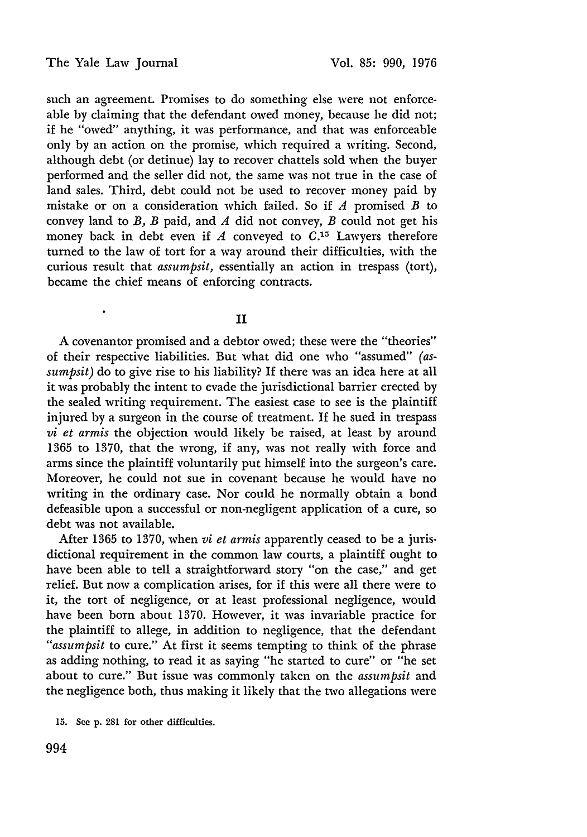such an agreement. Promises to do something else were not enforceable by claiming that the defendant owed money, because he did not; if he "owed" anything, it was performance, and that was enforceable only by an action on the promise, which required a writing. Second, although debt (or detinue) lay to recover chattels sold when the buyer performed and the seller did not, the same was not true in the case of land sales. Third, debt could not be used to recover money paid by mistake or on a consideration which failed. So if *A* promised *B* to convey land to *B, B* paid, and *A* did not convey, *B* could not get his money back in debt even if *A* conveyed to *C*.<sup>15</sup> Lawyers therefore turned to the law of tort for a way around their difficulties, with the curious result that *assumpsit,* essentially an action in trespass (tort), became the chief means of enforcing contracts.

## **II**

A covenantor promised and a debtor owed; these were the "theories" of their respective liabilities. But what did one who "assumed" *(assumpsit)* do to give rise to his liability? If there was an idea here at all it was probably the intent to evade the jurisdictional barrier erected **by** the sealed writing requirement. The easiest case to see is the plaintiff injured **by** a surgeon in the course of treatment. **If** he sued in trespass vi *et armis* the objection would likely be raised, at least by around 1365 to 1370, that the wrong, if any, was not really with force and arms since the plaintiff voluntarily put himself into the surgeon's care. Moreover, he could not sue in covenant because he would have no writing in the ordinary case. Nor could he normally obtain a bond defeasible upon a successful or non-negligent application of a cure, so debt was not available.

After 1365 to 1370, when *vi et armis* apparently ceased to be a jurisdictional requirement in the common law courts, a plaintiff ought to have been able to tell a straightforward story "on the case," and get relief. But now a complication arises, for if this were all there were to it, the tort of negligence, or at least professional negligence, would have been born about 1370. However, it was invariable practice for the plaintiff to allege, in addition to negligence, that the defendant *"assumpsit* to cure." At first it seems tempting to think of the phrase as adding nothing, to read it as saying "he started to cure" or "he set about to cure." But issue was commonly taken on the *assumpsit* and the negligence both, thus making it likely that the two allegations were

**15. See p. 281 for** other **difficulties.**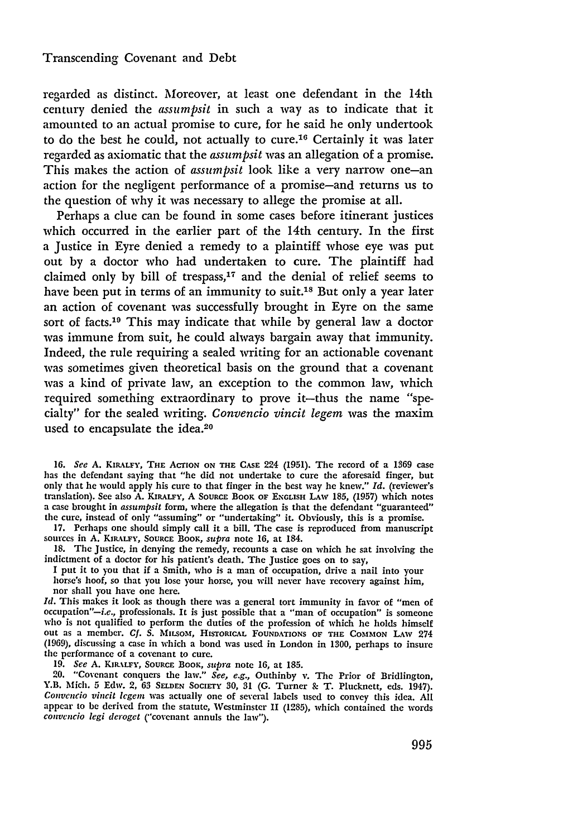regarded as distinct. Moreover, at least one defendant in the 14th century denied the *assumpsit* in such a way as to indicate that it amounted to an actual promise to cure, for he said he only undertook to do the best he could, not actually to cure.<sup>16</sup> Certainly it was later regarded as axiomatic that the *assumpsit* was an allegation of a promise. This makes the action of *assumpsit* look like a very narrow one-an action for the negligent performance of a promise-and returns us to the question of why it was necessary to allege the promise at all.

Perhaps a clue can be found in some cases before itinerant justices which occurred in the earlier part of the 14th century. In the first a Justice in Eyre denied a remedy to a plaintiff whose eye was put out by a doctor who had undertaken to cure. The plaintiff had claimed only by bill of trespass, $17$  and the denial of relief seems to have been put in terms of an immunity to suit.<sup>18</sup> But only a year later an action of covenant was successfully brought in Eyre on the same sort of facts.<sup>10</sup> This may indicate that while by general law a doctor was immune from suit, he could always bargain away that immunity. Indeed, the rule requiring a sealed writing for an actionable covenant was sometimes given theoretical basis on the ground that a covenant was a kind of private law, an exception to the common law, which required something extraordinary to prove it-thus the name "specialty" for the sealed writing. *Convencio vincit legem* was the maxim used to encapsulate the idea.<sup>20</sup>

**16.** *See* **A.** KIRALFY, **THE ACTION ON THE CASE** 224 (1951). The record of a 1369 case has the defendant saying that "he did not undertake to cure the aforesaid finger, but only that he would apply his cure to that finger in the best way he knew." *Id.* (reviewer's translation). See also A. **KiRALFY,** A **SOURCE BOOK OF** ENGLISH LAW 185, (1957) which notes a case brought in *assumpsit* form, where the allegation is that the defendant "guaranteed" the cure, instead of only "assuming" or "undertaking" it. Obviously, this is a promise.

17. Perhaps one should simply call it a bill. The case is reproduced from manuscript sources in **A. KIRALFY, SOURCE BooK,** *supra* note **16,** at 184.

18. The Justice, in denying the remedy, recounts a case on which he sat involving the indictment of a doctor for his patient's death. The Justice goes on to say,

I put it to you that if a Smith, who is a man of occupation, drive a nail into your horse's hoof, so that you lose your horse, you will never have recovery against him, nor shall you have one here.

*Id.* This makes it look as though there was a general tort immunity in favor of "men of occupation"-i.e., professionals. It is just possible that a "man of occupation" is someone who is not qualified to perform the duties of the profession of which he holds himself out as a member. *Cf. S.* MiLsom, HISTORICAL **FOUNDATIONS OF THE COMMON** LAW 274 (1969), discussing a case in which a bond was used in London in 1300, perhaps to insure the performance of a covenant to cure.

**19.** *See* A. **KIRALFY, SOURCE** BOOK, *supra* note 16, at 185.

20. "Covenant conquers the law." *See, e.g.,* Outhinby v. The Prior of Bridlington, Y.B. Mich. **5** Edw. 2, **63 SELDEN** Sociery 30, 31 (G. Turner & T. Plucknett, eds. 1947). *Covencio vineit legemn* was actually one of several labels used to convey this idea. All appear to be derived from the statute, Westminster II (1285), which contained the words convencio *legi deroget* ('covenant annuls the law").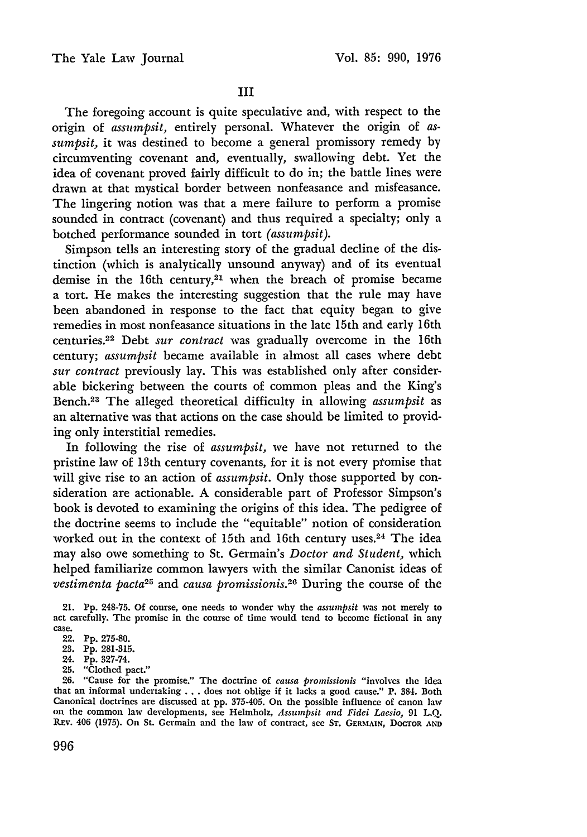III

The foregoing account is quite speculative and, with respect to the origin of *assumpsit,* entirely personal. Whatever the origin of *assumpsit,* it was destined to become a general promissory remedy by circumventing covenant and, eventually, swallowing debt. Yet the idea of covenant proved fairly difficult to do in; the battle lines were drawn at that mystical border between nonfeasance and misfeasance. The lingering notion was that a mere failure to perform a promise sounded in contract (covenant) and thus required a specialty; only a botched performance sounded in tort *(assumpsit).*

Simpson tells an interesting story of the gradual decline of the distinction (which is analytically unsound anyway) and of its eventual demise in the 16th century,<sup>21</sup> when the breach of promise became a tort. He makes the interesting suggestion that the rule may have been abandoned in response to the fact that equity began to give remedies in most nonfeasance situations in the late 15th and early 16th centuries.22 Debt *sur contract* was gradually overcome in the 16th century; *assumpsit* became available in almost all cases where debt *sur contract* previously lay. This was established only after considerable bickering between the courts of common pleas and the King's Bench.23 The alleged theoretical difficulty in allowing *assumpsit* as an alternative was that actions on the case should be limited to providing only interstitial remedies.

In following the rise of *assumpsit,* we have not returned to the pristine law of 13th century covenants, for it is not every promise that will give rise to an action of *assumpsit.* Only those supported by consideration are actionable. A considerable part of Professor Simpson's book is devoted to examining the origins of this idea. The pedigree of the doctrine seems to include the "equitable" notion of consideration worked out in the context of 15th and 16th century uses.<sup>24</sup> The idea may also owe something to St. Germain's *Doctor and Student,* which helped familiarize common lawyers with the similar Canonist ideas of *vestimenta pacta2 <sup>5</sup>*and *causa promissionis.2 <sup>6</sup>*During the course of the

- 24. **Pp. 327-74.**
- **25.** "Clothed pact."

**26.** "Cause for the promise." The doctrine of *causa promissionis* "involves the idea that an informal undertaking **...** does not oblige if it lacks a good cause." P. 384. Both Canonical doctrines are discussed at **pp. 375-405.** On the possible influence of canon law on the common law developments, see Helmholz, *Assumpsit and Fidei Laesio,* **91 L.Q.** REv. 406 **(1975).** On St. Germain and the law of contract, **see ST. GERMAIN, DoCToR AND**

996

<sup>21.</sup> **Pp. 248-75. Of** course, one needs to wonder why the *assumpsit* was not merely to act carefully. The promise in the course of time would tend to become fictional in any case.

<sup>22.</sup> **Pp. 275-80.**

**<sup>23.</sup> Pp. 281-315.**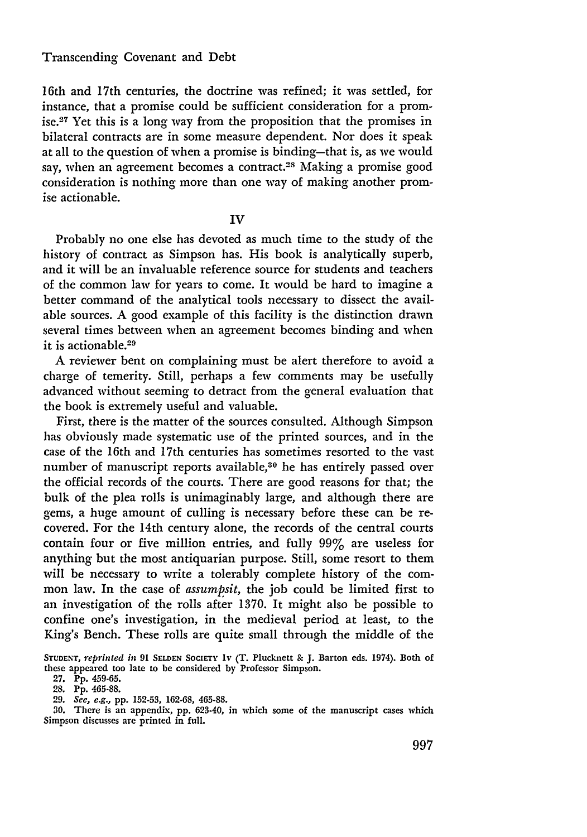16th and 17th centuries, the doctrine was refined; it was settled, for instance, that a promise could be sufficient consideration for a promise.27 Yet this is a long way from the proposition that the promises in bilateral contracts are in some measure dependent. Nor does it speak at all to the question of when a promise is binding-that is, as we would say, when an agreement becomes a contract.<sup>28</sup> Making a promise good consideration is nothing more than one way of making another promise actionable.

## IV

Probably no one else has devoted as much time to the study of the history of contract as Simpson has. His book is analytically superb, and it will be an invaluable reference source for students and teachers of the common law for years to come. It would be hard to imagine a better command of the analytical tools necessary to dissect the available sources. A good example of this facility is the distinction drawn several times between when an agreement becomes binding and when it is actionable.<sup>29</sup>

A reviewer bent on complaining must be alert therefore to avoid a charge of temerity. Still, perhaps a few comments may be usefully advanced without seeming to detract from the general evaluation that the book is extremely useful and valuable.

First, there is the matter of the sources consulted. Although Simpson has obviously made systematic use of the printed sources, and in the case of the 16th and 17th centuries has sometimes resorted to the vast number of manuscript reports available,<sup>30</sup> he has entirely passed over the official records of the courts. There are good reasons for that; the bulk of the plea rolls is unimaginably large, and although there are gems, a huge amount of culling is necessary before these can be recovered. For the 14th century alone, the records of the central courts contain four or five million entries, and fully 99% are useless for anything but the most antiquarian purpose. Still, some resort to them will be necessary to write a tolerably complete history of the common law. In the case of *assumpsit,* the job could be limited first to an investigation of the rolls after 1370. It might also be possible to confine one's investigation, in the medieval period at least, to the King's Bench. These rolls are quite small through the middle of the

**STUDENT,** *reprinted in* 91 **SELDEN SOCIETY** Iv (T. Plucknett *&* **J.** Barton eds. 1974). Both of these appeared too late to be considered by Professor Simpson.

27. **Pp.** 459-65.

28. **Pp.** 465-88.

**50.** There is an appendix, pp. 623-40, in which some of the manuscript cases which Simpson discusses are printed in full.

<sup>29.</sup> *See, e.g.,* pp. 152-53, 162-68, 465-88.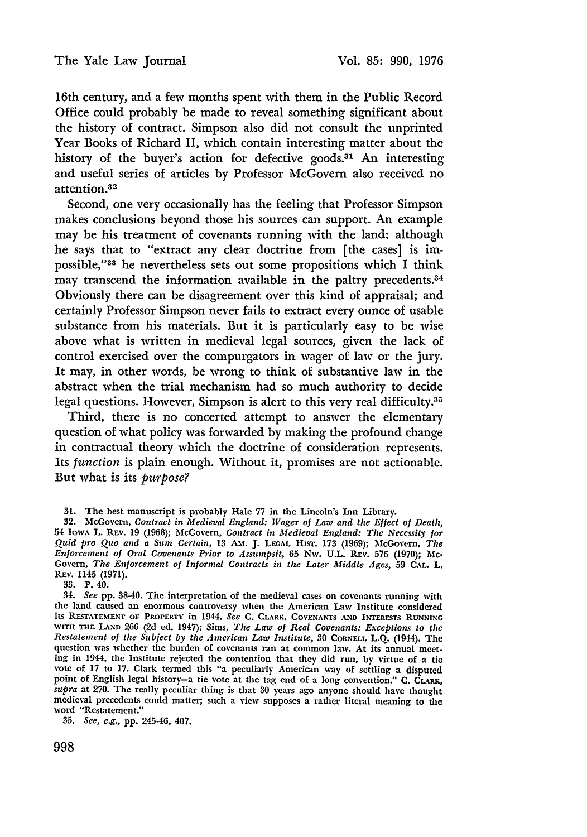16th century, and a few months spent with them in the Public Record Office could probably be made to reveal something significant about the history of contract. Simpson also did not consult the unprinted Year Books of Richard II, which contain interesting matter about the history of the buyer's action for defective goods.<sup>31</sup> An interesting and useful series of articles **by** Professor McGovern also received no attention.<sup>32</sup>

Second, one very occasionally has the feeling that Professor Simpson makes conclusions beyond those his sources can support. An example may be his treatment of covenants running with the land: although he says that to "extract any clear doctrine from [the cases] is impossible,"<sup>33</sup> he nevertheless sets out some propositions which I think may transcend the information available in the paltry precedents.<sup>34</sup> Obviously there can be disagreement over this kind of appraisal; and certainly Professor Simpson never fails to extract every ounce of usable substance from his materials. But it is particularly easy to be wise above what is written in medieval legal sources, given the lack of control exercised over the compurgators in wager of law or the jury. It may, in other words, be wrong to think of substantive law in the abstract when the trial mechanism had so much authority to decide legal questions. However, Simpson is alert to this very real difficulty.<sup>35</sup>

Third, there is no concerted attempt to answer the elementary question of what policy was forwarded **by** making the profound change in contractual theory which the doctrine of consideration represents. Its *function* is plain enough. Without it, promises are not actionable. But what is its *purpose?*

35. *See, e.g.,* pp. 245-46, 407.

<sup>31.</sup> The best manuscript is probably Hale **77** in the Lincoln's Inn Library.

<sup>32.</sup> McGovern, *Contract in Medieval England: Wager of Law and the Effect of Death,* 54 IowA L. REv. 19 (1968); McGovern, *Contract in Medieval England: The Necessity for Quid pro Quo and a Sum Certain,* 13 **AM.** J. **LEGAL** HiST. 173 (1969); McGovern, *The Enforcement of Oral Covenants Prior to Assumpsit,* 65 Nw. U.L. REv. **576** (1970); Mc-Govern, *The Enforcement of Informal Contracts in the Later Middle Ages,* **59 CA.L.** L. REV. 1145 **(1971).**

**<sup>33.</sup>** P. 40.

<sup>34.</sup> *See* **pp.** 38-40. The interpretation of the medieval cases on covenants running with the land caused an enormous controversy when the American Law Institute considered its **RESTATEMENT** OF **PROPERTY** in 1944. *See* **C. CLARK, COVENANTS AND** INTERESTS **RUNNING** WITH THE **LAND 266 (2d ed.** 1947); Sims, *The Law of Real Covenants: Exceptions to* **thc** *Restatement of the Subject by the American Law Institute,* **30** CORNELL **L.Q.** (1944). The question was whether the burden of covenants ran at common law. At its annual meeting in 1944, the Institute rejected the contention that they did run, **by** virtue of a tie vote of 17 to 17. Clark termed this "a peculiarly American way of settling a disputed point of English legal history-a tie vote at the tag end of a long convention." C. CLARK, *supra* at **270.** The really peculiar thing is that **30** years ago anyone should have thought medieval precedents could matter; such a view supposes a rather literal meaning to the word "Restatement."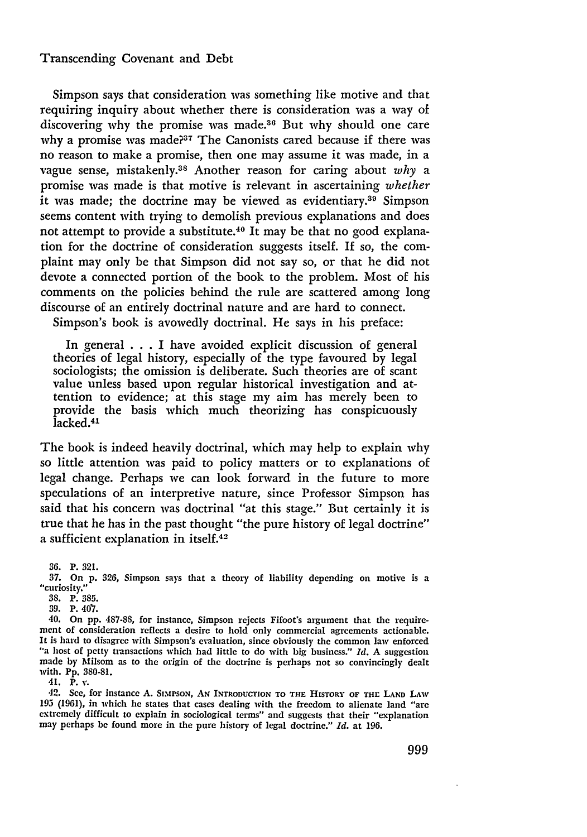Simpson says that consideration was something like motive and that requiring inquiry about whether there is consideration was a way of discovering why the promise was made.36 But why should one care why a promise was made?<sup>37</sup> The Canonists cared because if there was no reason to make a promise, then one may assume it was made, in a vague sense, mistakenly. 38 Another reason for caring about *why a* promise was made is that motive is relevant in ascertaining *whether* it was made; the doctrine may be viewed as evidentiary.39 Simpson seems content with trying to demolish previous explanations and does not attempt to provide a substitute.<sup>40</sup> It may be that no good explanation for the doctrine of consideration suggests itself. If so, the complaint may only be that Simpson did not say so, or that he did not devote a connected portion of the book to the problem. Most of his comments on the policies behind the rule are scattered among long discourse of an entirely doctrinal nature and are hard to connect.

Simpson's book is avowedly doctrinal. He says in his preface:

In general . . .I have avoided explicit discussion of general theories of legal history, especially of the type favoured by legal sociologists; the omission is deliberate. Such theories are of scant value unless based upon regular historical investigation and attention to evidence; at this stage my aim has merely been to provide the basis which much theorizing has conspicuously lacked.<sup>41</sup>

The book is indeed heavily doctrinal, which may help to explain why so little attention was paid to policy matters or to explanations of legal change. Perhaps we can look forward in the future to more speculations of an interpretive nature, since Professor Simpson has said that his concern was doctrinal "at this stage." But certainly it is true that he has in the past thought "the pure history of legal doctrine" a sufficient explanation in itself.42

**36.** P. **321.**

**37.** On **p.** 326, Simpson says that a theory of liability depending on motive is a "curiosity."

**38.** P. **385.**

**39.** P. 401.

40. On **pp. 487-88,** for instance, Simpson rejects Fifoot's argument that the requirement of consideration reflects a desire to hold only commercial agreements actionable. **It** is hard to disagree with Simpson's evaluation, since obviously the common law enforced "a host of petty transactions which had little to do with big business." *Id.* **A** suggestion made **by** Milsom as to the origin of the doctrine is perhaps not so convincingly dealt with. Pp. **380-81.**

**41. P. v.**

42. See, for instance **A. SIMPsoN, AN INTRODUCTION** TO **THE** HISTORY **OF THE LAND LAW 195 (1961),** in which he states that cases dealing with the freedom to alienate land "are extremely difficult to explain in sociological terms" and suggests that their "explanation may perhaps be found more in the pure history of legal doctrine." *Id.* at **196.**